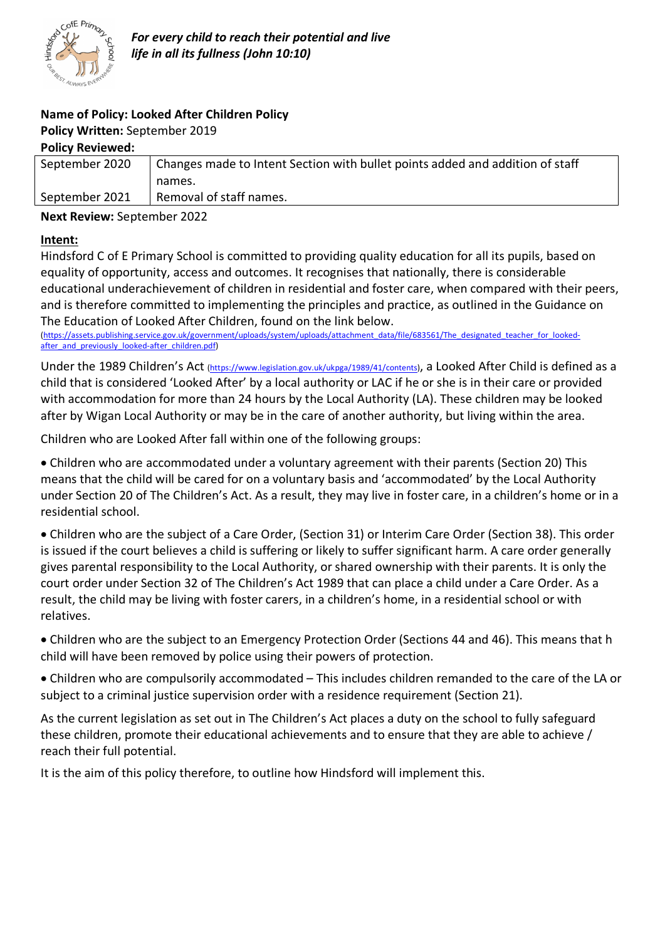

## **Name of Policy: Looked After Children Policy**

## **Policy Written:** September 2019

#### **Policy Reviewed:**

| September 2020 | Changes made to Intent Section with bullet points added and addition of staff |
|----------------|-------------------------------------------------------------------------------|
|                | names.                                                                        |
| September 2021 | Removal of staff names.                                                       |
|                |                                                                               |

**Next Review:** September 2022

#### **Intent:**

Hindsford C of E Primary School is committed to providing quality education for all its pupils, based on equality of opportunity, access and outcomes. It recognises that nationally, there is considerable educational underachievement of children in residential and foster care, when compared with their peers, and is therefore committed to implementing the principles and practice, as outlined in the Guidance on The Education of Looked After Children, found on the link below.

(https://assets.publishing.service.gov.uk/government/uploads/system/uploads/attachment\_data/file/683561/The\_designated\_teacher\_for\_lookedafter and previously looked-after children.pdf)

Under the 1989 Children's Act (https://www.legislation.gov.uk/ukpga/1989/41/contents), a Looked After Child is defined as a child that is considered 'Looked After' by a local authority or LAC if he or she is in their care or provided with accommodation for more than 24 hours by the Local Authority (LA). These children may be looked after by Wigan Local Authority or may be in the care of another authority, but living within the area.

Children who are Looked After fall within one of the following groups:

• Children who are accommodated under a voluntary agreement with their parents (Section 20) This means that the child will be cared for on a voluntary basis and 'accommodated' by the Local Authority under Section 20 of The Children's Act. As a result, they may live in foster care, in a children's home or in a residential school.

• Children who are the subject of a Care Order, (Section 31) or Interim Care Order (Section 38). This order is issued if the court believes a child is suffering or likely to suffer significant harm. A care order generally gives parental responsibility to the Local Authority, or shared ownership with their parents. It is only the court order under Section 32 of The Children's Act 1989 that can place a child under a Care Order. As a result, the child may be living with foster carers, in a children's home, in a residential school or with relatives.

• Children who are the subject to an Emergency Protection Order (Sections 44 and 46). This means that h child will have been removed by police using their powers of protection.

• Children who are compulsorily accommodated – This includes children remanded to the care of the LA or subject to a criminal justice supervision order with a residence requirement (Section 21).

As the current legislation as set out in The Children's Act places a duty on the school to fully safeguard these children, promote their educational achievements and to ensure that they are able to achieve / reach their full potential.

It is the aim of this policy therefore, to outline how Hindsford will implement this.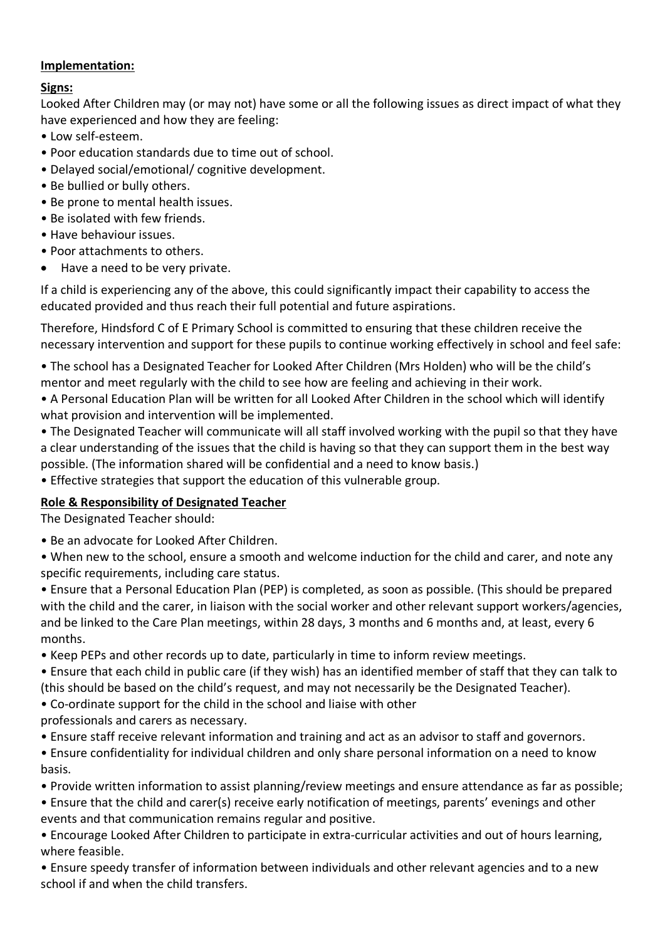#### **Implementation:**

#### **Signs:**

Looked After Children may (or may not) have some or all the following issues as direct impact of what they have experienced and how they are feeling:

- Low self-esteem.
- Poor education standards due to time out of school.
- Delayed social/emotional/ cognitive development.
- Be bullied or bully others.
- Be prone to mental health issues.
- Be isolated with few friends.
- Have behaviour issues.
- Poor attachments to others.
- Have a need to be very private.

If a child is experiencing any of the above, this could significantly impact their capability to access the educated provided and thus reach their full potential and future aspirations.

Therefore, Hindsford C of E Primary School is committed to ensuring that these children receive the necessary intervention and support for these pupils to continue working effectively in school and feel safe:

- The school has a Designated Teacher for Looked After Children (Mrs Holden) who will be the child's mentor and meet regularly with the child to see how are feeling and achieving in their work.
- A Personal Education Plan will be written for all Looked After Children in the school which will identify what provision and intervention will be implemented.
- The Designated Teacher will communicate will all staff involved working with the pupil so that they have a clear understanding of the issues that the child is having so that they can support them in the best way possible. (The information shared will be confidential and a need to know basis.)
- Effective strategies that support the education of this vulnerable group.

### **Role & Responsibility of Designated Teacher**

The Designated Teacher should:

- Be an advocate for Looked After Children.
- When new to the school, ensure a smooth and welcome induction for the child and carer, and note any specific requirements, including care status.
- Ensure that a Personal Education Plan (PEP) is completed, as soon as possible. (This should be prepared with the child and the carer, in liaison with the social worker and other relevant support workers/agencies, and be linked to the Care Plan meetings, within 28 days, 3 months and 6 months and, at least, every 6 months.
- Keep PEPs and other records up to date, particularly in time to inform review meetings.
- Ensure that each child in public care (if they wish) has an identified member of staff that they can talk to (this should be based on the child's request, and may not necessarily be the Designated Teacher).
- Co-ordinate support for the child in the school and liaise with other
- professionals and carers as necessary.
- Ensure staff receive relevant information and training and act as an advisor to staff and governors.
- Ensure confidentiality for individual children and only share personal information on a need to know basis.
- Provide written information to assist planning/review meetings and ensure attendance as far as possible;
- Ensure that the child and carer(s) receive early notification of meetings, parents' evenings and other events and that communication remains regular and positive.
- Encourage Looked After Children to participate in extra-curricular activities and out of hours learning, where feasible.
- Ensure speedy transfer of information between individuals and other relevant agencies and to a new school if and when the child transfers.